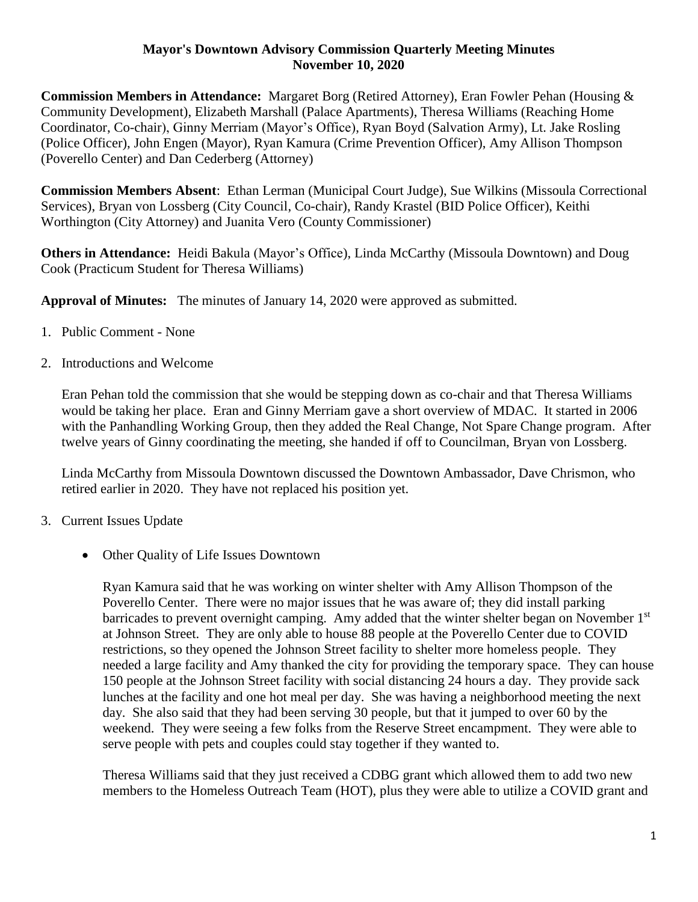## **Mayor's Downtown Advisory Commission Quarterly Meeting Minutes November 10, 2020**

**Commission Members in Attendance:** Margaret Borg (Retired Attorney), Eran Fowler Pehan (Housing & Community Development), Elizabeth Marshall (Palace Apartments), Theresa Williams (Reaching Home Coordinator, Co-chair), Ginny Merriam (Mayor's Office), Ryan Boyd (Salvation Army), Lt. Jake Rosling (Police Officer), John Engen (Mayor), Ryan Kamura (Crime Prevention Officer), Amy Allison Thompson (Poverello Center) and Dan Cederberg (Attorney)

**Commission Members Absent**: Ethan Lerman (Municipal Court Judge), Sue Wilkins (Missoula Correctional Services), Bryan von Lossberg (City Council, Co-chair), Randy Krastel (BID Police Officer), Keithi Worthington (City Attorney) and Juanita Vero (County Commissioner)

**Others in Attendance:** Heidi Bakula (Mayor's Office), Linda McCarthy (Missoula Downtown) and Doug Cook (Practicum Student for Theresa Williams)

**Approval of Minutes:** The minutes of January 14, 2020 were approved as submitted.

- 1. Public Comment None
- 2. Introductions and Welcome

Eran Pehan told the commission that she would be stepping down as co-chair and that Theresa Williams would be taking her place. Eran and Ginny Merriam gave a short overview of MDAC. It started in 2006 with the Panhandling Working Group, then they added the Real Change, Not Spare Change program. After twelve years of Ginny coordinating the meeting, she handed if off to Councilman, Bryan von Lossberg.

Linda McCarthy from Missoula Downtown discussed the Downtown Ambassador, Dave Chrismon, who retired earlier in 2020. They have not replaced his position yet.

- 3. Current Issues Update
	- Other Quality of Life Issues Downtown

Ryan Kamura said that he was working on winter shelter with Amy Allison Thompson of the Poverello Center. There were no major issues that he was aware of; they did install parking barricades to prevent overnight camping. Amy added that the winter shelter began on November  $1<sup>st</sup>$ at Johnson Street. They are only able to house 88 people at the Poverello Center due to COVID restrictions, so they opened the Johnson Street facility to shelter more homeless people. They needed a large facility and Amy thanked the city for providing the temporary space. They can house 150 people at the Johnson Street facility with social distancing 24 hours a day. They provide sack lunches at the facility and one hot meal per day. She was having a neighborhood meeting the next day. She also said that they had been serving 30 people, but that it jumped to over 60 by the weekend. They were seeing a few folks from the Reserve Street encampment. They were able to serve people with pets and couples could stay together if they wanted to.

Theresa Williams said that they just received a CDBG grant which allowed them to add two new members to the Homeless Outreach Team (HOT), plus they were able to utilize a COVID grant and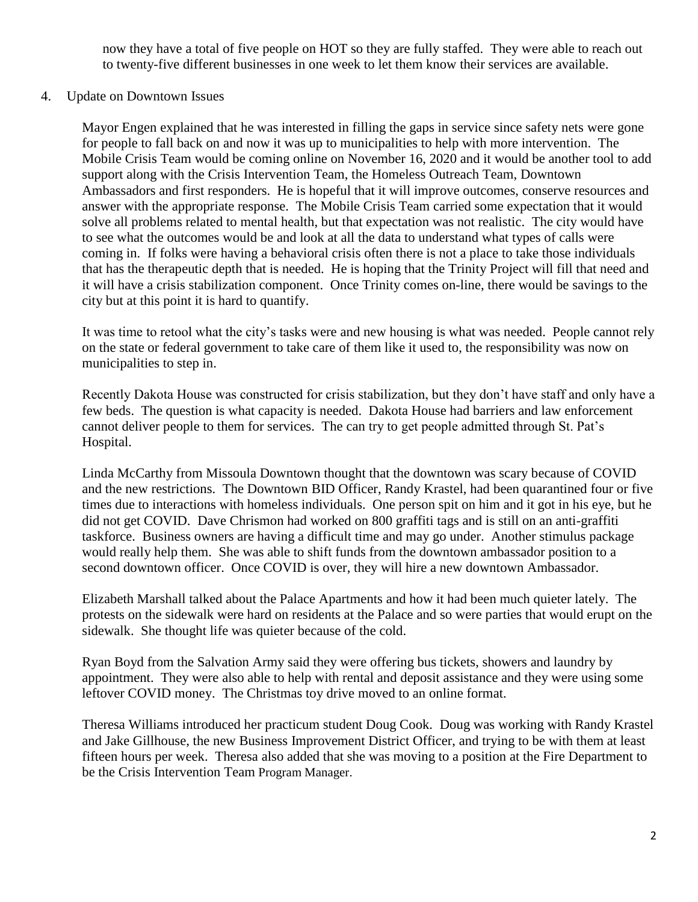now they have a total of five people on HOT so they are fully staffed. They were able to reach out to twenty-five different businesses in one week to let them know their services are available.

## 4. Update on Downtown Issues

Mayor Engen explained that he was interested in filling the gaps in service since safety nets were gone for people to fall back on and now it was up to municipalities to help with more intervention. The Mobile Crisis Team would be coming online on November 16, 2020 and it would be another tool to add support along with the Crisis Intervention Team, the Homeless Outreach Team, Downtown Ambassadors and first responders. He is hopeful that it will improve outcomes, conserve resources and answer with the appropriate response. The Mobile Crisis Team carried some expectation that it would solve all problems related to mental health, but that expectation was not realistic. The city would have to see what the outcomes would be and look at all the data to understand what types of calls were coming in. If folks were having a behavioral crisis often there is not a place to take those individuals that has the therapeutic depth that is needed. He is hoping that the Trinity Project will fill that need and it will have a crisis stabilization component. Once Trinity comes on-line, there would be savings to the city but at this point it is hard to quantify.

It was time to retool what the city's tasks were and new housing is what was needed. People cannot rely on the state or federal government to take care of them like it used to, the responsibility was now on municipalities to step in.

Recently Dakota House was constructed for crisis stabilization, but they don't have staff and only have a few beds. The question is what capacity is needed. Dakota House had barriers and law enforcement cannot deliver people to them for services. The can try to get people admitted through St. Pat's Hospital.

Linda McCarthy from Missoula Downtown thought that the downtown was scary because of COVID and the new restrictions. The Downtown BID Officer, Randy Krastel, had been quarantined four or five times due to interactions with homeless individuals. One person spit on him and it got in his eye, but he did not get COVID. Dave Chrismon had worked on 800 graffiti tags and is still on an anti-graffiti taskforce. Business owners are having a difficult time and may go under. Another stimulus package would really help them. She was able to shift funds from the downtown ambassador position to a second downtown officer. Once COVID is over, they will hire a new downtown Ambassador.

Elizabeth Marshall talked about the Palace Apartments and how it had been much quieter lately. The protests on the sidewalk were hard on residents at the Palace and so were parties that would erupt on the sidewalk. She thought life was quieter because of the cold.

Ryan Boyd from the Salvation Army said they were offering bus tickets, showers and laundry by appointment. They were also able to help with rental and deposit assistance and they were using some leftover COVID money. The Christmas toy drive moved to an online format.

Theresa Williams introduced her practicum student Doug Cook. Doug was working with Randy Krastel and Jake Gillhouse, the new Business Improvement District Officer, and trying to be with them at least fifteen hours per week. Theresa also added that she was moving to a position at the Fire Department to be the Crisis Intervention Team Program Manager.